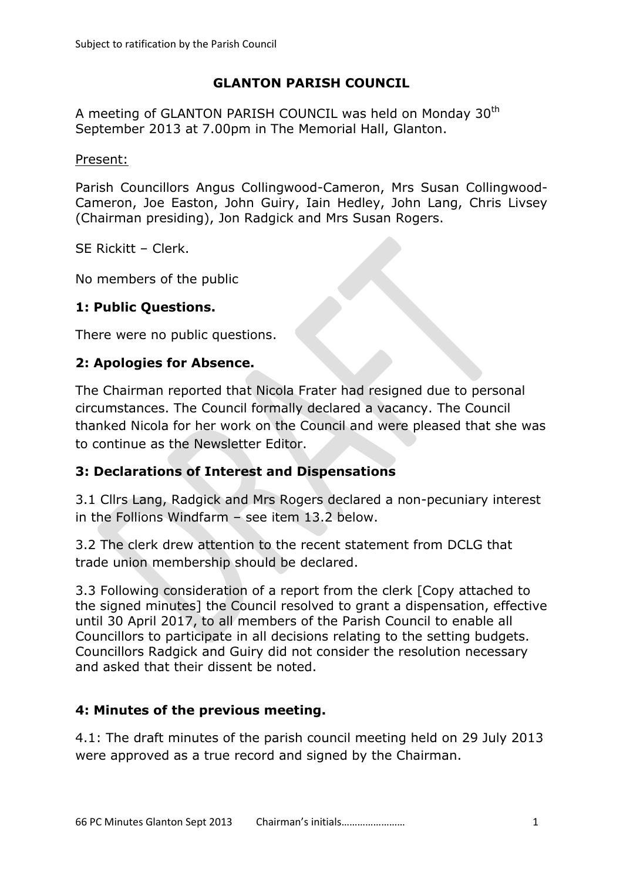## **GLANTON PARISH COUNCIL**

A meeting of GLANTON PARISH COUNCIL was held on Monday 30<sup>th</sup> September 2013 at 7.00pm in The Memorial Hall, Glanton.

#### Present:

Parish Councillors Angus Collingwood-Cameron, Mrs Susan Collingwood-Cameron, Joe Easton, John Guiry, Iain Hedley, John Lang, Chris Livsey (Chairman presiding), Jon Radgick and Mrs Susan Rogers.

SE Rickitt – Clerk.

No members of the public

#### **1: Public Questions.**

There were no public questions.

#### **2: Apologies for Absence.**

The Chairman reported that Nicola Frater had resigned due to personal circumstances. The Council formally declared a vacancy. The Council thanked Nicola for her work on the Council and were pleased that she was to continue as the Newsletter Editor.

#### **3: Declarations of Interest and Dispensations**

3.1 Cllrs Lang, Radgick and Mrs Rogers declared a non-pecuniary interest in the Follions Windfarm – see item 13.2 below.

3.2 The clerk drew attention to the recent statement from DCLG that trade union membership should be declared.

3.3 Following consideration of a report from the clerk [Copy attached to the signed minutes] the Council resolved to grant a dispensation, effective until 30 April 2017, to all members of the Parish Council to enable all Councillors to participate in all decisions relating to the setting budgets. Councillors Radgick and Guiry did not consider the resolution necessary and asked that their dissent be noted.

#### **4: Minutes of the previous meeting.**

4.1: The draft minutes of the parish council meeting held on 29 July 2013 were approved as a true record and signed by the Chairman.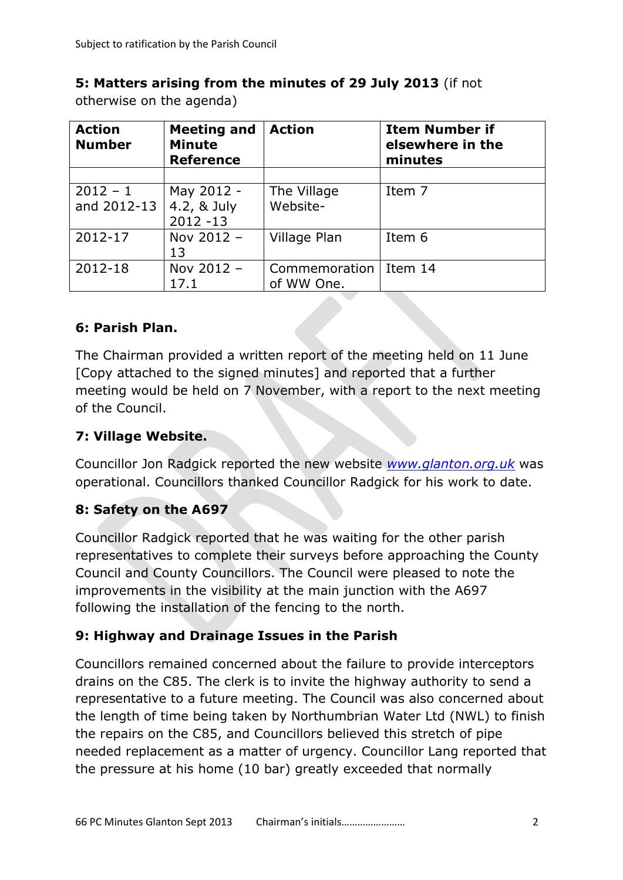# **5: Matters arising from the minutes of 29 July 2013** (if not

otherwise on the agenda)

| <b>Action</b><br><b>Number</b> | <b>Meeting and</b><br><b>Minute</b><br><b>Reference</b> | <b>Action</b>               | <b>Item Number if</b><br>elsewhere in the<br>minutes |
|--------------------------------|---------------------------------------------------------|-----------------------------|------------------------------------------------------|
|                                |                                                         |                             |                                                      |
| $2012 - 1$<br>and 2012-13      | May 2012 -<br>4.2, & July<br>$2012 - 13$                | The Village<br>Website-     | Item 7                                               |
| 2012-17                        | Nov 2012 -<br>13                                        | Village Plan                | Item 6                                               |
| 2012-18                        | Nov 2012 -<br>17.1                                      | Commemoration<br>of WW One. | Item 14                                              |

## **6: Parish Plan.**

The Chairman provided a written report of the meeting held on 11 June [Copy attached to the signed minutes] and reported that a further meeting would be held on 7 November, with a report to the next meeting of the Council.

### **7: Village Website.**

Councillor Jon Radgick reported the new website *[www.glanton.org.uk](http://www.glanton.org.uk/)* was operational. Councillors thanked Councillor Radgick for his work to date.

## **8: Safety on the A697**

Councillor Radgick reported that he was waiting for the other parish representatives to complete their surveys before approaching the County Council and County Councillors. The Council were pleased to note the improvements in the visibility at the main junction with the A697 following the installation of the fencing to the north.

## **9: Highway and Drainage Issues in the Parish**

Councillors remained concerned about the failure to provide interceptors drains on the C85. The clerk is to invite the highway authority to send a representative to a future meeting. The Council was also concerned about the length of time being taken by Northumbrian Water Ltd (NWL) to finish the repairs on the C85, and Councillors believed this stretch of pipe needed replacement as a matter of urgency. Councillor Lang reported that the pressure at his home (10 bar) greatly exceeded that normally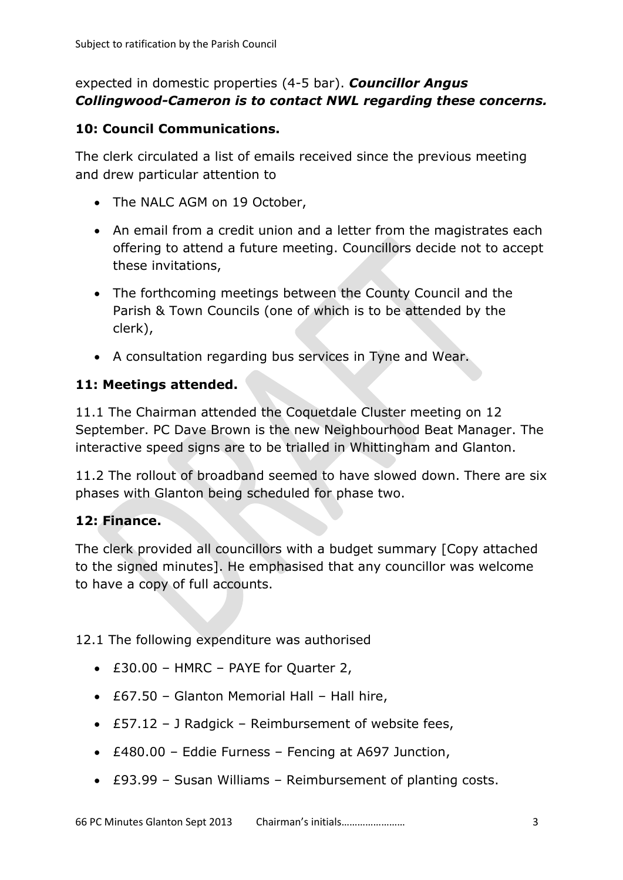## expected in domestic properties (4-5 bar). *Councillor Angus Collingwood-Cameron is to contact NWL regarding these concerns.*

### **10: Council Communications.**

The clerk circulated a list of emails received since the previous meeting and drew particular attention to

- The NALC AGM on 19 October,
- An email from a credit union and a letter from the magistrates each offering to attend a future meeting. Councillors decide not to accept these invitations,
- The forthcoming meetings between the County Council and the Parish & Town Councils (one of which is to be attended by the clerk),
- A consultation regarding bus services in Tyne and Wear.

#### **11: Meetings attended.**

11.1 The Chairman attended the Coquetdale Cluster meeting on 12 September. PC Dave Brown is the new Neighbourhood Beat Manager. The interactive speed signs are to be trialled in Whittingham and Glanton.

11.2 The rollout of broadband seemed to have slowed down. There are six phases with Glanton being scheduled for phase two.

## **12: Finance.**

The clerk provided all councillors with a budget summary [Copy attached to the signed minutes]. He emphasised that any councillor was welcome to have a copy of full accounts.

12.1 The following expenditure was authorised

- £30.00 HMRC PAYE for Quarter 2,
- £67.50 Glanton Memorial Hall Hall hire,
- £57.12 J Radgick Reimbursement of website fees,
- £480.00 Eddie Furness Fencing at A697 Junction,
- £93.99 Susan Williams Reimbursement of planting costs.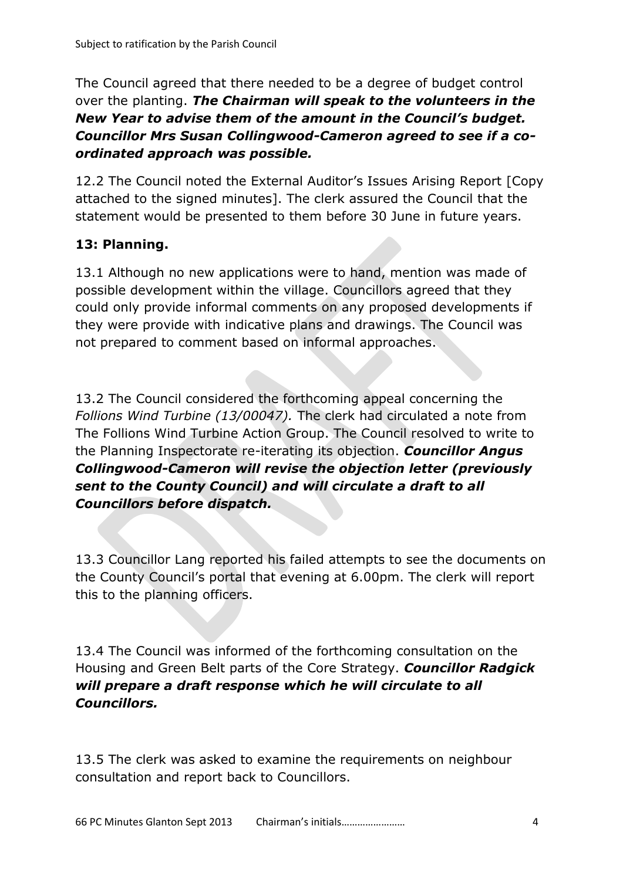The Council agreed that there needed to be a degree of budget control over the planting. *The Chairman will speak to the volunteers in the New Year to advise them of the amount in the Council's budget. Councillor Mrs Susan Collingwood-Cameron agreed to see if a coordinated approach was possible.*

12.2 The Council noted the External Auditor's Issues Arising Report [Copy attached to the signed minutes]. The clerk assured the Council that the statement would be presented to them before 30 June in future years.

# **13: Planning.**

13.1 Although no new applications were to hand, mention was made of possible development within the village. Councillors agreed that they could only provide informal comments on any proposed developments if they were provide with indicative plans and drawings. The Council was not prepared to comment based on informal approaches.

13.2 The Council considered the forthcoming appeal concerning the *Follions Wind Turbine (13/00047).* The clerk had circulated a note from The Follions Wind Turbine Action Group. The Council resolved to write to the Planning Inspectorate re-iterating its objection. *Councillor Angus Collingwood-Cameron will revise the objection letter (previously sent to the County Council) and will circulate a draft to all Councillors before dispatch.* 

13.3 Councillor Lang reported his failed attempts to see the documents on the County Council's portal that evening at 6.00pm. The clerk will report this to the planning officers.

13.4 The Council was informed of the forthcoming consultation on the Housing and Green Belt parts of the Core Strategy. *Councillor Radgick will prepare a draft response which he will circulate to all Councillors.*

13.5 The clerk was asked to examine the requirements on neighbour consultation and report back to Councillors.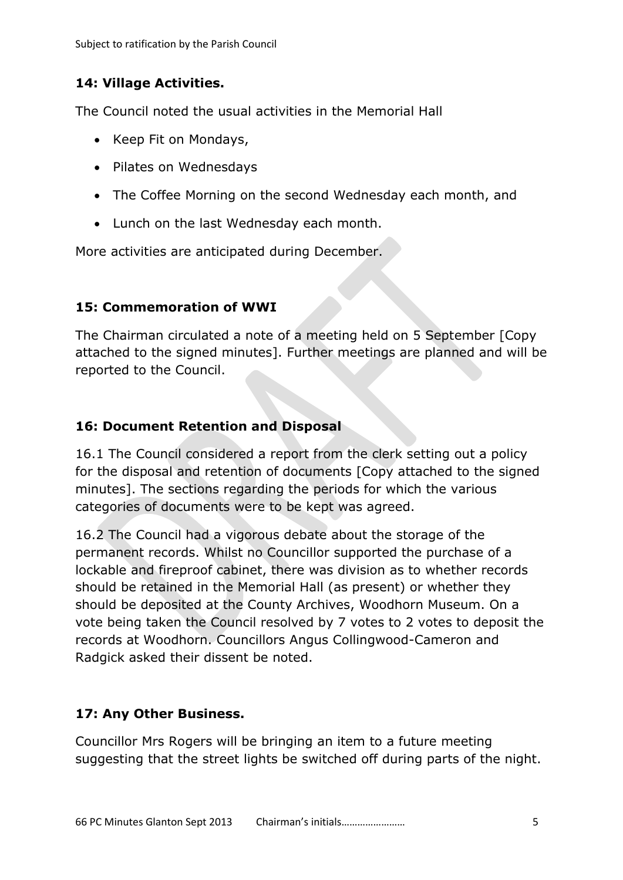## **14: Village Activities.**

The Council noted the usual activities in the Memorial Hall

- Keep Fit on Mondays,
- Pilates on Wednesdays
- The Coffee Morning on the second Wednesday each month, and
- Lunch on the last Wednesday each month.

More activities are anticipated during December.

#### **15: Commemoration of WWI**

The Chairman circulated a note of a meeting held on 5 September [Copy attached to the signed minutes]. Further meetings are planned and will be reported to the Council.

#### **16: Document Retention and Disposal**

16.1 The Council considered a report from the clerk setting out a policy for the disposal and retention of documents [Copy attached to the signed minutes]. The sections regarding the periods for which the various categories of documents were to be kept was agreed.

16.2 The Council had a vigorous debate about the storage of the permanent records. Whilst no Councillor supported the purchase of a lockable and fireproof cabinet, there was division as to whether records should be retained in the Memorial Hall (as present) or whether they should be deposited at the County Archives, Woodhorn Museum. On a vote being taken the Council resolved by 7 votes to 2 votes to deposit the records at Woodhorn. Councillors Angus Collingwood-Cameron and Radgick asked their dissent be noted.

## **17: Any Other Business.**

Councillor Mrs Rogers will be bringing an item to a future meeting suggesting that the street lights be switched off during parts of the night.